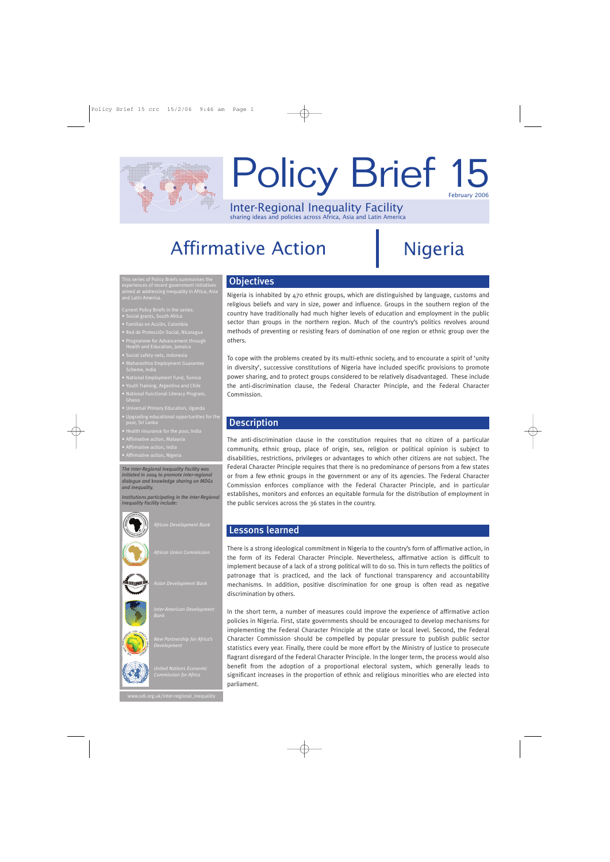# February 2006 Policy Brief 15

Inter-Regional Inequality Facility sharing ideas and policies across Africa, Asia and Latin America

## Affirmative Action | Nigeria

This series of Policy Briefs summarises the aimed at addressing inequality in Africa, Asia and Latin America.

Current Policy Briefs in the series: • Social grants, South Africa

- 
- 
- Health and Education, Jamaica
- Social safety nets, Indonesia
- 
- 
- 
- National Functional Literacy Program,
- 
- bgraunig edu<br>ior, S<u>ri Lanka</u>
- 
- Affirmative action, Malaysia
- 
- 

*The Inter-Regional Inequality Facility was initiated in 2004 to promote inter-regional dialogue and knowledge sharing on MDGs and inequality.*

*Institutions participating in the Inter-Regional Inequality Facility include:*



*Asian Development Bank*



*United Nations Economic* 

## **Objectives**

Nigeria is inhabited by 470 ethnic groups, which are distinguished by language, customs and religious beliefs and vary in size, power and influence. Groups in the southern region of the country have traditionally had much higher levels of education and employment in the public sector than groups in the northern region. Much of the country's politics revolves around methods of preventing or resisting fears of domination of one region or ethnic group over the others.

To cope with the problems created by its multi-ethnic society, and to encourate a spirit of 'unity in diversity', successive constitutions of Nigeria have included specific provisions to promote power sharing, and to protect groups considered to be relatively disadvantaged. These include the anti-discrimination clause, the Federal Character Principle, and the Federal Character Commission.

### Description

The anti-discrimination clause in the constitution requires that no citizen of a particular community, ethnic group, place of origin, sex, religion or political opinion is subject to disabilities, restrictions, privileges or advantages to which other citizens are not subject. The Federal Character Principle requires that there is no predominance of persons from a few states or from a few ethnic groups in the government or any of its agencies. The Federal Character Commission enforces compliance with the Federal Character Principle, and in particular establishes, monitors and enforces an equitable formula for the distribution of employment in the public services across the 36 states in the country.

#### Lessons learned

There is a strong ideological commitment in Nigeria to the country's form of affirmative action, in the form of its Federal Character Principle. Nevertheless, affirmative action is difficult to implement because of a lack of a strong political will to do so. This in turn reflects the politics of patronage that is practiced, and the lack of functional transparency and accountability mechanisms. In addition, positive discrimination for one group is often read as negative discrimination by others.

In the short term, a number of measures could improve the experience of affirmative action policies in Nigeria. First, state governments should be encouraged to develop mechanisms for implementing the Federal Character Principle at the state or local level. Second, the Federal Character Commission should be compelled by popular pressure to publish public sector statistics every year. Finally, there could be more effort by the Ministry of Justice to prosecute flagrant disregard of the Federal Character Principle. In the longer term, the process would also benefit from the adoption of a proportional electoral system, which generally leads to significant increases in the proportion of ethnic and religious minorities who are elected into parliament.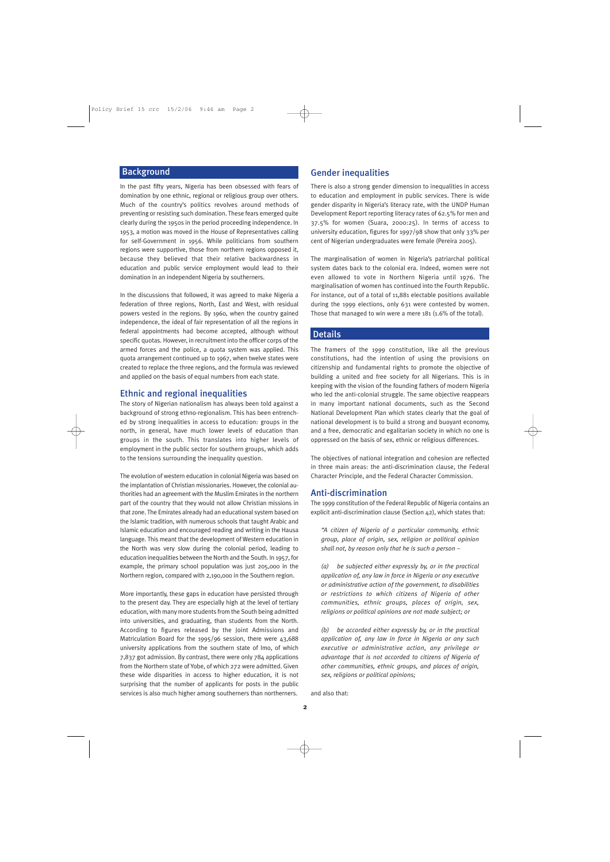#### Background

In the past fifty years, Nigeria has been obsessed with fears of domination by one ethnic, regional or religious group over others. Much of the country's politics revolves around methods of preventing or resisting such domination. These fears emerged quite clearly during the 1950s in the period proceeding independence. In 1953, a motion was moved in the House of Representatives calling for self-Government in 1956. While politicians from southern regions were supportive, those from northern regions opposed it, because they believed that their relative backwardness in education and public service employment would lead to their domination in an independent Nigeria by southerners.

In the discussions that followed, it was agreed to make Nigeria a federation of three regions, North, East and West, with residual powers vested in the regions. By 1960, when the country gained independence, the ideal of fair representation of all the regions in federal appointments had become accepted, although without specific quotas. However, in recruitment into the officer corps of the armed forces and the police, a quota system was applied. This quota arrangement continued up to 1967, when twelve states were created to replace the three regions, and the formula was reviewed and applied on the basis of equal numbers from each state.

#### Ethnic and regional inequalities

The story of Nigerian nationalism has always been told against a background of strong ethno-regionalism. This has been entrenched by strong inequalities in access to education: groups in the north, in general, have much lower levels of education than groups in the south. This translates into higher levels of employment in the public sector for southern groups, which adds to the tensions surrounding the inequality question.

The evolution of western education in colonial Nigeria was based on the implantation of Christian missionaries. However, the colonial authorities had an agreement with the Muslim Emirates in the northern part of the country that they would not allow Christian missions in that zone. The Emirates already had an educational system based on the Islamic tradition, with numerous schools that taught Arabic and Islamic education and encouraged reading and writing in the Hausa language. This meant that the development of Western education in the North was very slow during the colonial period, leading to education inequalities between the North and the South. In 1957, for example, the primary school population was just 205,000 in the Northern region, compared with 2,190,000 in the Southern region.

More importantly, these gaps in education have persisted through to the present day. They are especially high at the level of tertiary education, with many more students from the South being admitted into universities, and graduating, than students from the North. According to figures released by the Joint Admissions and Matriculation Board for the 1995/96 session, there were 43,688 university applications from the southern state of Imo, of which 7,837 got admission. By contrast, there were only 784 applications from the Northern state of Yobe, of which 272 were admitted. Given these wide disparities in access to higher education, it is not surprising that the number of applicants for posts in the public services is also much higher among southerners than northerners.

#### Gender inequalities

There is also a strong gender dimension to inequalities in access to education and employment in public services. There is wide gender disparity in Nigeria's literacy rate, with the UNDP Human Development Report reporting literacy rates of 62.5% for men and 37.5% for women (Suara, 2000:25). In terms of access to university education, figures for 1997/98 show that only 33% per cent of Nigerian undergraduates were female (Pereira 2005).

The marginalisation of women in Nigeria's patriarchal political system dates back to the colonial era. Indeed, women were not even allowed to vote in Northern Nigeria until 1976. The marginalisation of women has continued into the Fourth Republic. For instance, out of a total of 11,881 electable positions available during the 1999 elections, only 631 were contested by women. Those that managed to win were a mere 181 (1.6% of the total).

#### **Details**

The framers of the 1999 constitution, like all the previous constitutions, had the intention of using the provisions on citizenship and fundamental rights to promote the objective of building a united and free society for all Nigerians. This is in keeping with the vision of the founding fathers of modern Nigeria who led the anti-colonial struggle. The same objective reappears in many important national documents, such as the Second National Development Plan which states clearly that the goal of national development is to build a strong and buoyant economy, and a free, democratic and egalitarian society in which no one is oppressed on the basis of sex, ethnic or religious differences.

The objectives of national integration and cohesion are reflected in three main areas: the anti-discrimination clause, the Federal Character Principle, and the Federal Character Commission.

#### Anti-discrimination

The 1999 constitution of the Federal Republic of Nigeria contains an explicit anti-discrimination clause (Section 42), which states that:

*"A citizen of Nigeria of a particular community, ethnic group, place of origin, sex, religion or political opinion shall not, by reason only that he is such a person –*

*(a) be subjected either expressly by, or in the practical application of, any law in force in Nigeria or any executive or administrative action of the government, to disabilities or restrictions to which citizens of Nigeria of other communities, ethnic groups, places of origin, sex, religions or political opinions are not made subject; or*

*(b) be accorded either expressly by, or in the practical application of, any law in force in Nigeria or any such executive or administrative action, any privilege or advantage that is not accorded to citizens of Nigeria of other communities, ethnic groups, and places of origin, sex, religions or political opinions;*

and also that: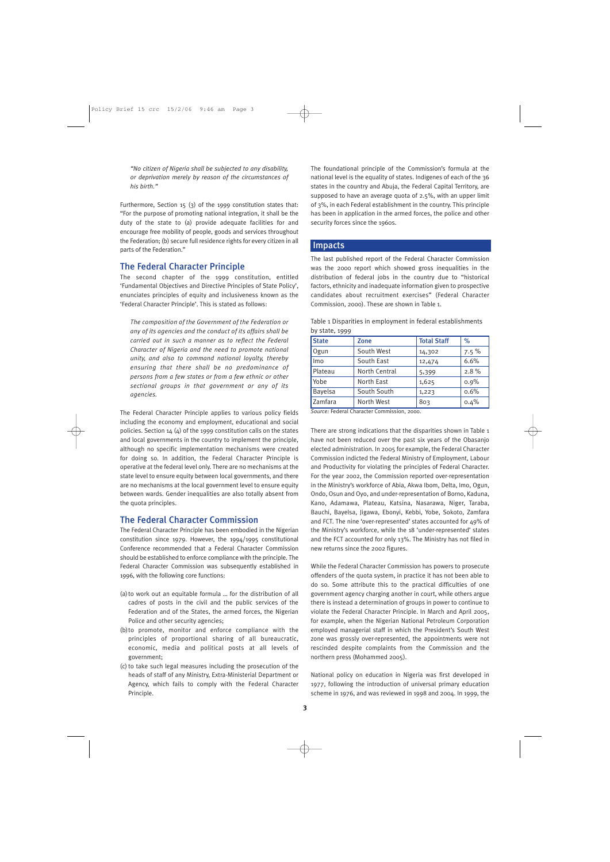*"No citizen of Nigeria shall be subjected to any disability, or deprivation merely by reason of the circumstances of his birth."*

Furthermore, Section 15 (3) of the 1999 constitution states that: "For the purpose of promoting national integration, it shall be the duty of the state to (a) provide adequate facilities for and encourage free mobility of people, goods and services throughout the Federation; (b) secure full residence rights for every citizen in all parts of the Federation."

#### The Federal Character Principle

The second chapter of the 1999 constitution, entitled 'Fundamental Objectives and Directive Principles of State Policy', enunciates principles of equity and inclusiveness known as the 'Federal Character Principle'. This is stated as follows:

*The composition of the Government of the Federation or any of its agencies and the conduct of its affairs shall be carried out in such a manner as to reflect the Federal Character of Nigeria and the need to promote national unity, and also to command national loyalty, thereby ensuring that there shall be no predominance of persons from a few states or from a few ethnic or other sectional groups in that government or any of its agencies.*

The Federal Character Principle applies to various policy fields including the economy and employment, educational and social policies. Section 14 (4) of the 1999 constitution calls on the states and local governments in the country to implement the principle, although no specific implementation mechanisms were created for doing so. In addition, the Federal Character Principle is operative at the federal level only. There are no mechanisms at the state level to ensure equity between local governments, and there are no mechanisms at the local government level to ensure equity between wards. Gender inequalities are also totally absent from the quota principles.

#### The Federal Character Commission

The Federal Character Principle has been embodied in the Nigerian constitution since 1979. However, the 1994/1995 constitutional Conference recommended that a Federal Character Commission should be established to enforce compliance with the principle. The Federal Character Commission was subsequently established in 1996, with the following core functions:

- (a)to work out an equitable formula … for the distribution of all cadres of posts in the civil and the public services of the Federation and of the States, the armed forces, the Nigerian Police and other security agencies;
- (b)to promote, monitor and enforce compliance with the principles of proportional sharing of all bureaucratic, economic, media and political posts at all levels of government;
- (c) to take such legal measures including the prosecution of the heads of staff of any Ministry, Extra-Ministerial Department or Agency, which fails to comply with the Federal Character Principle.

The foundational principle of the Commission's formula at the national level is the equality of states. Indigenes of each of the 36 states in the country and Abuja, the Federal Capital Territory, are supposed to have an average quota of 2.5%, with an upper limit of 3%, in each Federal establishment in the country. This principle has been in application in the armed forces, the police and other security forces since the 1960s.

#### Impacts

The last published report of the Federal Character Commission was the 2000 report which showed gross inequalities in the distribution of federal jobs in the country due to "historical factors, ethnicity and inadequate information given to prospective candidates about recruitment exercises" (Federal Character Commission, 2000). These are shown in Table 1.

| Table 1 Disparities in employment in federal establishments |  |  |  |
|-------------------------------------------------------------|--|--|--|
| by state, 1999                                              |  |  |  |
|                                                             |  |  |  |

| <b>State</b>   | <b>Zone</b>   | <b>Total Staff</b> | $\%$    |
|----------------|---------------|--------------------|---------|
| Ogun           | South West    | 14,302             | $7.5\%$ |
| Imo            | South East    | 12,474             | 6.6%    |
| Plateau        | North Central | 5,399              | 2.8%    |
| Yobe           | North East    | 1,625              | 0.9%    |
| <b>Bayelsa</b> | South South   | 1,223              | 0.6%    |
| Zamfara        | North West    | 803                | 0.4%    |

*Source:* Federal Character Commission, 2000.

There are strong indications that the disparities shown in Table 1 have not been reduced over the past six years of the Obasanjo elected administration. In 2005 for example, the Federal Character Commission indicted the Federal Ministry of Employment, Labour and Productivity for violating the principles of Federal Character. For the year 2002, the Commission reported over-representation in the Ministry's workforce of Abia, Akwa Ibom, Delta, Imo, Ogun, Ondo, Osun and Oyo, and under-representation of Borno, Kaduna, Kano, Adamawa, Plateau, Katsina, Nasarawa, Niger, Taraba, Bauchi, Bayelsa, Jigawa, Ebonyi, Kebbi, Yobe, Sokoto, Zamfara and FCT. The nine 'over-represented' states accounted for 49% of the Ministry's workforce, while the 18 'under-represented' states and the FCT accounted for only 13%. The Ministry has not filed in new returns since the 2002 figures.

While the Federal Character Commission has powers to prosecute offenders of the quota system, in practice it has not been able to do so. Some attribute this to the practical difficulties of one government agency charging another in court, while others argue there is instead a determination of groups in power to continue to violate the Federal Character Principle. In March and April 2005, for example, when the Nigerian National Petroleum Corporation employed managerial staff in which the President's South West zone was grossly over-represented, the appointments were not rescinded despite complaints from the Commission and the northern press (Mohammed 2005).

National policy on education in Nigeria was first developed in 1977, following the introduction of universal primary education scheme in 1976, and was reviewed in 1998 and 2004. In 1999, the